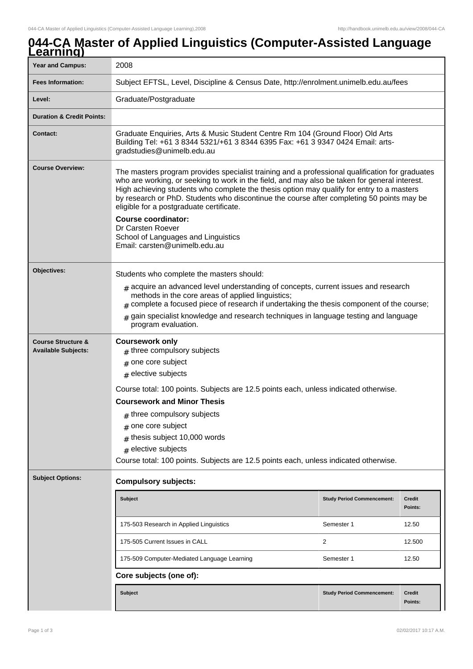## **044-CA Master of Applied Linguistics (Computer-Assisted Language Learning)**

| <u>-carming</u>                                             |                                                                                                                                                                                                                                                                                                                                                                                                                                                                                                                                                                   |                                   |                          |
|-------------------------------------------------------------|-------------------------------------------------------------------------------------------------------------------------------------------------------------------------------------------------------------------------------------------------------------------------------------------------------------------------------------------------------------------------------------------------------------------------------------------------------------------------------------------------------------------------------------------------------------------|-----------------------------------|--------------------------|
| <b>Year and Campus:</b>                                     | 2008                                                                                                                                                                                                                                                                                                                                                                                                                                                                                                                                                              |                                   |                          |
| <b>Fees Information:</b>                                    | Subject EFTSL, Level, Discipline & Census Date, http://enrolment.unimelb.edu.au/fees                                                                                                                                                                                                                                                                                                                                                                                                                                                                              |                                   |                          |
| Level:                                                      | Graduate/Postgraduate                                                                                                                                                                                                                                                                                                                                                                                                                                                                                                                                             |                                   |                          |
| <b>Duration &amp; Credit Points:</b>                        |                                                                                                                                                                                                                                                                                                                                                                                                                                                                                                                                                                   |                                   |                          |
| <b>Contact:</b>                                             | Graduate Enquiries, Arts & Music Student Centre Rm 104 (Ground Floor) Old Arts<br>Building Tel: +61 3 8344 5321/+61 3 8344 6395 Fax: +61 3 9347 0424 Email: arts-<br>gradstudies@unimelb.edu.au                                                                                                                                                                                                                                                                                                                                                                   |                                   |                          |
| <b>Course Overview:</b>                                     | The masters program provides specialist training and a professional qualification for graduates<br>who are working, or seeking to work in the field, and may also be taken for general interest.<br>High achieving students who complete the thesis option may qualify for entry to a masters<br>by research or PhD. Students who discontinue the course after completing 50 points may be<br>eligible for a postgraduate certificate.<br><b>Course coordinator:</b><br>Dr Carsten Roever<br>School of Languages and Linguistics<br>Email: carsten@unimelb.edu.au |                                   |                          |
| Objectives:                                                 | Students who complete the masters should:<br>$#$ acquire an advanced level understanding of concepts, current issues and research<br>methods in the core areas of applied linguistics;<br>complete a focused piece of research if undertaking the thesis component of the course;<br>gain specialist knowledge and research techniques in language testing and language<br>#<br>program evaluation.                                                                                                                                                               |                                   |                          |
| <b>Course Structure &amp;</b><br><b>Available Subjects:</b> | <b>Coursework only</b><br>$#$ three compulsory subjects<br>$#$ one core subject<br>$#$ elective subjects<br>Course total: 100 points. Subjects are 12.5 points each, unless indicated otherwise.<br><b>Coursework and Minor Thesis</b><br>$#$ three compulsory subjects<br>one core subject<br>thesis subject 10,000 words<br>#<br>$#$ elective subjects<br>Course total: 100 points. Subjects are 12.5 points each, unless indicated otherwise.                                                                                                                  |                                   |                          |
| <b>Subject Options:</b>                                     | <b>Compulsory subjects:</b>                                                                                                                                                                                                                                                                                                                                                                                                                                                                                                                                       |                                   |                          |
|                                                             | <b>Subject</b>                                                                                                                                                                                                                                                                                                                                                                                                                                                                                                                                                    | <b>Study Period Commencement:</b> | <b>Credit</b><br>Points: |
|                                                             | 175-503 Research in Applied Linguistics                                                                                                                                                                                                                                                                                                                                                                                                                                                                                                                           | Semester 1                        | 12.50                    |
|                                                             | 175-505 Current Issues in CALL                                                                                                                                                                                                                                                                                                                                                                                                                                                                                                                                    | 2                                 | 12.500                   |
|                                                             | 175-509 Computer-Mediated Language Learning                                                                                                                                                                                                                                                                                                                                                                                                                                                                                                                       | Semester 1                        | 12.50                    |
|                                                             | Core subjects (one of):                                                                                                                                                                                                                                                                                                                                                                                                                                                                                                                                           |                                   |                          |
|                                                             | <b>Subject</b>                                                                                                                                                                                                                                                                                                                                                                                                                                                                                                                                                    | <b>Study Period Commencement:</b> | <b>Credit</b><br>Points: |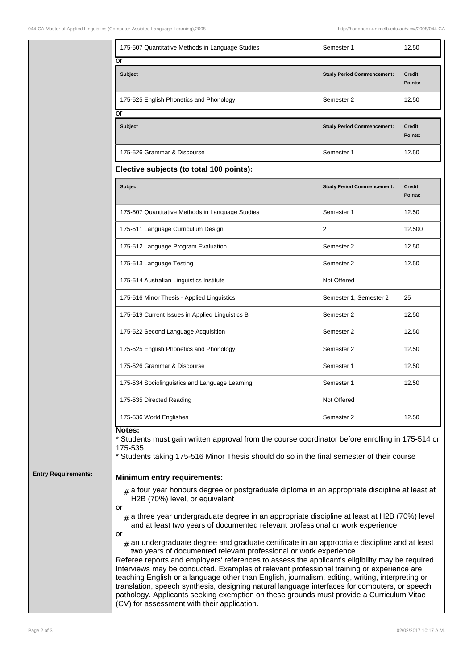| 175-507 Quantitative Methods in Language Studies | Semester 1                        | 12.50                    |
|--------------------------------------------------|-----------------------------------|--------------------------|
| or<br><b>Subject</b>                             | <b>Study Period Commencement:</b> | <b>Credit</b><br>Points: |
| 175-525 English Phonetics and Phonology          | Semester 2                        | 12.50                    |
| or                                               |                                   |                          |
| <b>Subject</b>                                   | <b>Study Period Commencement:</b> | <b>Credit</b><br>Points: |
| 175-526 Grammar & Discourse                      | Semester 1                        | 12.50                    |
| Elective subjects (to total 100 points):         |                                   |                          |

| <b>Subject</b>                                   | <b>Study Period Commencement:</b> | Credit<br>Points: |
|--------------------------------------------------|-----------------------------------|-------------------|
| 175-507 Quantitative Methods in Language Studies | Semester 1                        | 12.50             |
| 175-511 Language Curriculum Design               | 2                                 | 12.500            |
| 175-512 Language Program Evaluation              | Semester 2                        | 12.50             |
| 175-513 Language Testing                         | Semester 2                        | 12.50             |
| 175-514 Australian Linguistics Institute         | Not Offered                       |                   |
| 175-516 Minor Thesis - Applied Linguistics       | Semester 1, Semester 2            | 25                |
| 175-519 Current Issues in Applied Linguistics B  | Semester 2                        | 12.50             |
| 175-522 Second Language Acquisition              | Semester 2                        | 12.50             |
| 175-525 English Phonetics and Phonology          | Semester 2                        | 12.50             |
| 175-526 Grammar & Discourse                      | Semester 1                        | 12.50             |
| 175-534 Sociolinguistics and Language Learning   | Semester 1                        | 12.50             |
| 175-535 Directed Reading                         | Not Offered                       |                   |
| 175-536 World Englishes                          | Semester 2                        | 12.50             |

## 175-535

\* Students taking 175-516 Minor Thesis should do so in the final semester of their course

## **Entry Requirements: Minimum entry requirements:**

# a four year honours degree or postgraduate diploma in an appropriate discipline at least at H2B (70%) level, or equivalent

- or
	- $_{\rm \#}$  a three year undergraduate degree in an appropriate discipline at least at H2B (70%) level and at least two years of documented relevant professional or work experience
- or
	- $_{\rm \#}$  an undergraduate degree and graduate certificate in an appropriate discipline and at least two years of documented relevant professional or work experience.

Referee reports and employers' references to assess the applicant's eligibility may be required. Interviews may be conducted. Examples of relevant professional training or experience are: teaching English or a language other than English, journalism, editing, writing, interpreting or translation, speech synthesis, designing natural language interfaces for computers, or speech pathology. Applicants seeking exemption on these grounds must provide a Curriculum Vitae (CV) for assessment with their application.